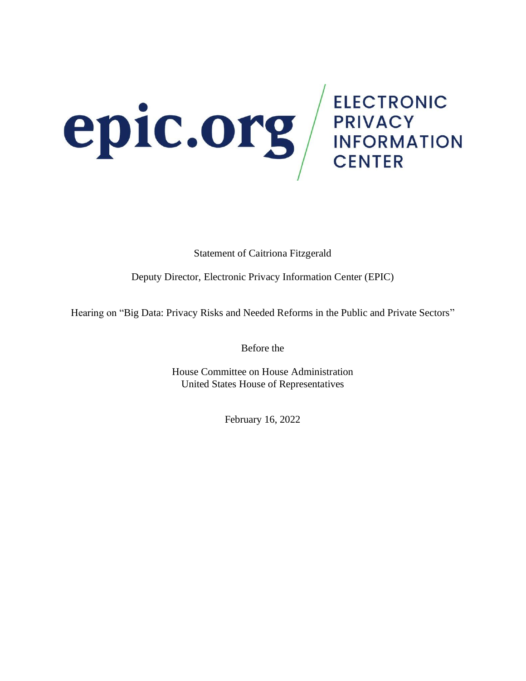# **EDIC.Org** ELECTRONIC

Statement of Caitriona Fitzgerald

Deputy Director, Electronic Privacy Information Center (EPIC)

Hearing on "Big Data: Privacy Risks and Needed Reforms in the Public and Private Sectors"

Before the

House Committee on House Administration United States House of Representatives

February 16, 2022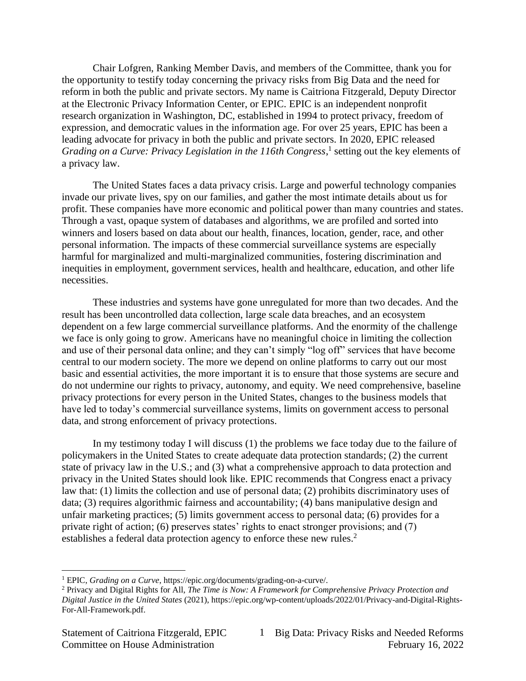Chair Lofgren, Ranking Member Davis, and members of the Committee, thank you for the opportunity to testify today concerning the privacy risks from Big Data and the need for reform in both the public and private sectors. My name is Caitriona Fitzgerald, Deputy Director at the Electronic Privacy Information Center, or EPIC. EPIC is an independent nonprofit research organization in Washington, DC, established in 1994 to protect privacy, freedom of expression, and democratic values in the information age. For over 25 years, EPIC has been a leading advocate for privacy in both the public and private sectors. In 2020, EPIC released Grading on a Curve: Privacy Legislation in the 116th Congress,<sup>1</sup> setting out the key elements of a privacy law.

The United States faces a data privacy crisis. Large and powerful technology companies invade our private lives, spy on our families, and gather the most intimate details about us for profit. These companies have more economic and political power than many countries and states. Through a vast, opaque system of databases and algorithms, we are profiled and sorted into winners and losers based on data about our health, finances, location, gender, race, and other personal information. The impacts of these commercial surveillance systems are especially harmful for marginalized and multi-marginalized communities, fostering discrimination and inequities in employment, government services, health and healthcare, education, and other life necessities.

These industries and systems have gone unregulated for more than two decades. And the result has been uncontrolled data collection, large scale data breaches, and an ecosystem dependent on a few large commercial surveillance platforms. And the enormity of the challenge we face is only going to grow. Americans have no meaningful choice in limiting the collection and use of their personal data online; and they can't simply "log off" services that have become central to our modern society. The more we depend on online platforms to carry out our most basic and essential activities, the more important it is to ensure that those systems are secure and do not undermine our rights to privacy, autonomy, and equity. We need comprehensive, baseline privacy protections for every person in the United States, changes to the business models that have led to today's commercial surveillance systems, limits on government access to personal data, and strong enforcement of privacy protections.

In my testimony today I will discuss (1) the problems we face today due to the failure of policymakers in the United States to create adequate data protection standards; (2) the current state of privacy law in the U.S.; and (3) what a comprehensive approach to data protection and privacy in the United States should look like. EPIC recommends that Congress enact a privacy law that: (1) limits the collection and use of personal data; (2) prohibits discriminatory uses of data; (3) requires algorithmic fairness and accountability; (4) bans manipulative design and unfair marketing practices; (5) limits government access to personal data; (6) provides for a private right of action; (6) preserves states' rights to enact stronger provisions; and (7) establishes a federal data protection agency to enforce these new rules.<sup>2</sup>

<sup>1</sup> EPIC, *Grading on a Curve*[, https://epic.org/documents/grading-on-a-curve/.](https://epic.org/documents/grading-on-a-curve/) 

<sup>2</sup> Privacy and Digital Rights for All, *The Time is Now: A Framework for Comprehensive Privacy Protection and Digital Justice in the United States* (2021), [https://epic.org/wp-content/uploads/2022/01/Privacy-and-Digital-Rights-](https://epic.org/wp-content/uploads/2022/01/Privacy-and-Digital-Rights-For-All-Framework.pdf)[For-All-Framework.pdf.](https://epic.org/wp-content/uploads/2022/01/Privacy-and-Digital-Rights-For-All-Framework.pdf)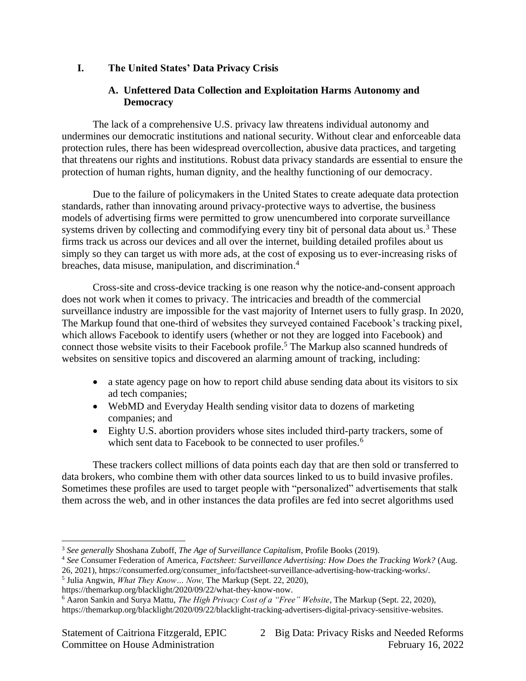# **I. The United States' Data Privacy Crisis**

# **A. Unfettered Data Collection and Exploitation Harms Autonomy and Democracy**

The lack of a comprehensive U.S. privacy law threatens individual autonomy and undermines our democratic institutions and national security. Without clear and enforceable data protection rules, there has been widespread overcollection, abusive data practices, and targeting that threatens our rights and institutions. Robust data privacy standards are essential to ensure the protection of human rights, human dignity, and the healthy functioning of our democracy.

Due to the failure of policymakers in the United States to create adequate data protection standards, rather than innovating around privacy-protective ways to advertise, the business models of advertising firms were permitted to grow unencumbered into corporate surveillance systems driven by collecting and commodifying every tiny bit of personal data about us.<sup>3</sup> These firms track us across our devices and all over the internet, building detailed profiles about us simply so they can target us with more ads, at the cost of exposing us to ever-increasing risks of breaches, data misuse, manipulation, and discrimination. 4

Cross-site and cross-device tracking is one reason why the notice-and-consent approach does not work when it comes to privacy. The intricacies and breadth of the commercial surveillance industry are impossible for the vast majority of Internet users to fully grasp. In 2020, The Markup found that one-third of websites they surveyed contained Facebook's tracking pixel, which allows Facebook to identify users (whether or not they are logged into Facebook) and connect those website visits to their Facebook profile.<sup>5</sup> The Markup also scanned hundreds of websites on sensitive topics and discovered an alarming amount of tracking, including:

- a state agency page on how to report child abuse sending data about its visitors to six ad tech companies;
- WebMD and Everyday Health sending visitor data to dozens of marketing companies; and
- Eighty U.S. abortion providers whose sites included third-party trackers, some of which sent data to Facebook to be connected to user profiles.<sup>6</sup>

These trackers collect millions of data points each day that are then sold or transferred to data brokers, who combine them with other data sources linked to us to build invasive profiles. Sometimes these profiles are used to target people with "personalized" advertisements that stalk them across the web, and in other instances the data profiles are fed into secret algorithms used

<sup>3</sup> *See generally* Shoshana Zuboff, *The Age of Surveillance Capitalism*, Profile Books (2019).

<sup>4</sup> *See* Consumer Federation of America, *Factsheet: Surveillance Advertising: How Does the Tracking Work?* (Aug. 26, 2021), [https://consumerfed.org/consumer\\_info/factsheet-surveillance-advertising-how-tracking-works/.](https://consumerfed.org/consumer_info/factsheet-surveillance-advertising-how-tracking-works/) 

<sup>5</sup> Julia Angwin, *What They Know… Now,* The Markup (Sept. 22, 2020),

[https://themarkup.org/blacklight/2020/09/22/what-they-know-now.](https://themarkup.org/blacklight/2020/09/22/what-they-know-now)

<sup>6</sup> Aaron Sankin and Surya Mattu, *The High Privacy Cost of a "Free" Website*, The Markup (Sept. 22, 2020), [https://themarkup.org/blacklight/2020/09/22/blacklight-tracking-advertisers-digital-privacy-sensitive-websites.](https://themarkup.org/blacklight/2020/09/22/blacklight-tracking-advertisers-digital-privacy-sensitive-websites)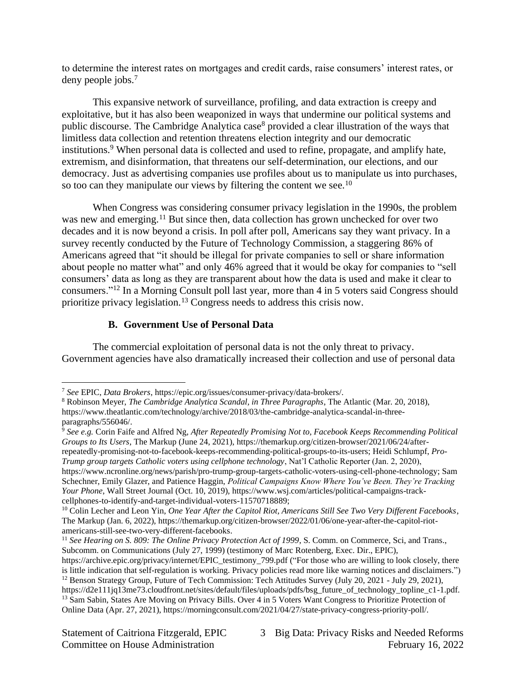to determine the interest rates on mortgages and credit cards, raise consumers' interest rates, or deny people jobs.<sup>7</sup>

This expansive network of surveillance, profiling, and data extraction is creepy and exploitative, but it has also been weaponized in ways that undermine our political systems and public discourse. The Cambridge Analytica case<sup>8</sup> provided a clear illustration of the ways that limitless data collection and retention threatens election integrity and our democratic institutions.<sup>9</sup> When personal data is collected and used to refine, propagate, and amplify hate, extremism, and disinformation, that threatens our self-determination, our elections, and our democracy. Just as advertising companies use profiles about us to manipulate us into purchases, so too can they manipulate our views by filtering the content we see.<sup>10</sup>

When Congress was considering consumer privacy legislation in the 1990s, the problem was new and emerging.<sup>11</sup> But since then, data collection has grown unchecked for over two decades and it is now beyond a crisis. In poll after poll, Americans say they want privacy. In a survey recently conducted by the Future of Technology Commission, a staggering 86% of Americans agreed that "it should be illegal for private companies to sell or share information about people no matter what" and only 46% agreed that it would be okay for companies to "sell consumers' data as long as they are transparent about how the data is used and make it clear to consumers."<sup>12</sup> In a Morning Consult poll last year, more than 4 in 5 voters said Congress should prioritize privacy legislation.<sup>13</sup> Congress needs to address this crisis now.

# **B. Government Use of Personal Data**

The commercial exploitation of personal data is not the only threat to privacy. Government agencies have also dramatically increased their collection and use of personal data

<sup>9</sup> *See e.g.* Corin Faife and Alfred Ng, *After Repeatedly Promising Not to, Facebook Keeps Recommending Political Groups to Its Users*, The Markup (June 24, 2021), https://themarkup.org/citizen-browser/2021/06/24/afterrepeatedly-promising-not-to-facebook-keeps-recommending-political-groups-to-its-users; Heidi Schlumpf, *Pro-Trump group targets Catholic voters using cellphone technology*, Nat'l Catholic Reporter (Jan. 2, 2020), [https://www.ncronline.org/news/parish/pro-trump-group-targets-catholic-voters-using-cell-phone-technology;](https://www.ncronline.org/news/parish/pro-trump-group-targets-catholic-voters-using-cell-phone-technology) Sam Schechner, Emily Glazer, and Patience Haggin, *Political Campaigns Know Where You've Been. They're Tracking Your Phone*, Wall Street Journal (Oct. 10, 2019), [https://www.wsj.com/articles/political-campaigns-track](https://www.wsj.com/articles/political-campaigns-track-cellphones-to-identify-and-target-individual-voters-11570718889)[cellphones-to-identify-and-target-individual-voters-11570718889;](https://www.wsj.com/articles/political-campaigns-track-cellphones-to-identify-and-target-individual-voters-11570718889)

<sup>10</sup> Colin Lecher and Leon Yin, *One Year After the Capitol Riot, Americans Still See Two Very Different Facebooks*, The Markup (Jan. 6, 2022), https://themarkup.org/citizen-browser/2022/01/06/one-year-after-the-capitol-riotamericans-still-see-two-very-different-facebooks.

<sup>7</sup> *See* EPIC, *Data Brokers*, [https://epic.org/issues/consumer-privacy/data-brokers/.](https://epic.org/issues/consumer-privacy/data-brokers/)

<sup>8</sup> Robinson Meyer, *The Cambridge Analytica Scandal, in Three Paragraphs*, The Atlantic (Mar. 20, 2018), [https://www.theatlantic.com/technology/archive/2018/03/the-cambridge-analytica-scandal-in-three](https://www.theatlantic.com/technology/archive/2018/03/the-cambridge-analytica-scandal-in-three-paragraphs/556046/)[paragraphs/556046/.](https://www.theatlantic.com/technology/archive/2018/03/the-cambridge-analytica-scandal-in-three-paragraphs/556046/)

<sup>&</sup>lt;sup>11</sup> See Hearing on S. 809: The Online Privacy Protection Act of 1999, S. Comm. on Commerce, Sci, and Trans., Subcomm. on Communications (July 27, 1999) (testimony of Marc Rotenberg, Exec. Dir., EPIC),

[https://archive.epic.org/privacy/internet/EPIC\\_testimony\\_799.pdf](https://archive.epic.org/privacy/internet/EPIC_testimony_799.pdf) ("For those who are willing to look closely, there is little indication that self-regulation is working. Privacy policies read more like warning notices and disclaimers.") <sup>12</sup> Benson Strategy Group, Future of Tech Commission: Tech Attitudes Survey (July 20, 2021 - July 29, 2021), [https://d2e111jq13me73.cloudfront.net/sites/default/files/uploads/pdfs/bsg\\_future\\_of\\_technology\\_topline\\_c1-1.pdf.](https://d2e111jq13me73.cloudfront.net/sites/default/files/uploads/pdfs/bsg_future_of_technology_topline_c1-1.pdf) <sup>13</sup> Sam Sabin, States Are Moving on Privacy Bills. Over 4 in 5 Voters Want Congress to Prioritize Protection of Online Data (Apr. 27, 2021), [https://morningconsult.com/2021/04/27/state-privacy-congress-priority-poll/.](https://morningconsult.com/2021/04/27/state-privacy-congress-priority-poll/)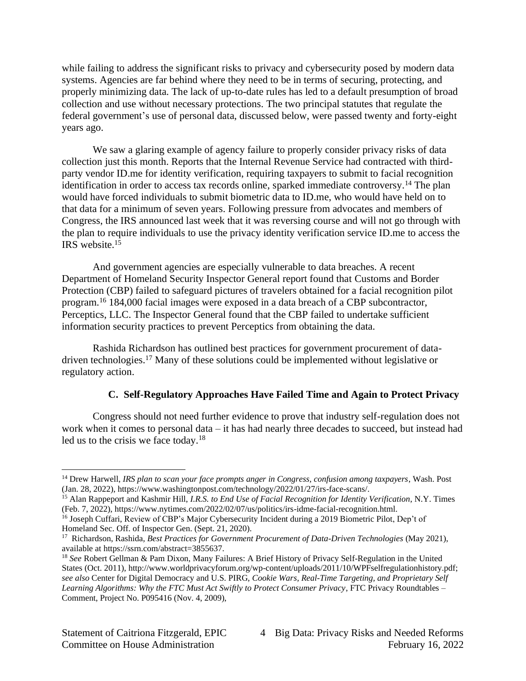while failing to address the significant risks to privacy and cybersecurity posed by modern data systems. Agencies are far behind where they need to be in terms of securing, protecting, and properly minimizing data. The lack of up-to-date rules has led to a default presumption of broad collection and use without necessary protections. The two principal statutes that regulate the federal government's use of personal data, discussed below, were passed twenty and forty-eight years ago.

We saw a glaring example of agency failure to properly consider privacy risks of data collection just this month. Reports that the Internal Revenue Service had contracted with thirdparty vendor ID.me for identity verification, requiring taxpayers to submit to facial recognition identification in order to access tax records online, sparked immediate controversy.<sup>14</sup> The plan would have forced individuals to submit biometric data to ID.me, who would have held on to that data for a minimum of seven years. Following pressure from advocates and members of Congress, the IRS announced last week that it was reversing course and will not go through with the plan to require individuals to use the privacy identity verification service ID.me to access the IRS website.<sup>15</sup>

And government agencies are especially vulnerable to data breaches. A recent Department of Homeland Security Inspector General report found that Customs and Border Protection (CBP) failed to safeguard pictures of travelers obtained for a facial recognition pilot program.<sup>16</sup> 184,000 facial images were exposed in a data breach of a CBP subcontractor, Perceptics, LLC. The Inspector General found that the CBP failed to undertake sufficient information security practices to prevent Perceptics from obtaining the data.

Rashida Richardson has outlined best practices for government procurement of datadriven technologies.<sup>17</sup> Many of these solutions could be implemented without legislative or regulatory action.

# **C. Self-Regulatory Approaches Have Failed Time and Again to Protect Privacy**

Congress should not need further evidence to prove that industry self-regulation does not work when it comes to personal data – it has had nearly three decades to succeed, but instead had led us to the crisis we face today.<sup>18</sup>

<sup>14</sup> Drew Harwell, *IRS plan to scan your face prompts anger in Congress, confusion among taxpayers*, Wash. Post (Jan. 28, 2022), [https://www.washingtonpost.com/technology/2022/01/27/irs-face-scans/.](https://www.washingtonpost.com/technology/2022/01/27/irs-face-scans/)

<sup>15</sup> Alan Rappeport and Kashmir Hill, *I.R.S. to End Use of Facial Recognition for Identity Verification*, N.Y. Times (Feb. 7, 2022)[, https://www.nytimes.com/2022/02/07/us/politics/irs-idme-facial-recognition.html.](https://www.nytimes.com/2022/02/07/us/politics/irs-idme-facial-recognition.html) 

<sup>&</sup>lt;sup>16</sup> Joseph Cuffari, Review of CBP's Major Cybersecurity Incident during a 2019 Biometric Pilot, Dep't of Homeland Sec. Off. of Inspector Gen. (Sept. 21, 2020).

<sup>17</sup> Richardson, Rashida, *Best Practices for Government Procurement of Data-Driven Technologies* (May 2021), available a[t https://ssrn.com/abstract=3855637.](https://ssrn.com/abstract=3855637)

<sup>18</sup> *See* Robert Gellman & Pam Dixon, Many Failures: A Brief History of Privacy Self-Regulation in the United States (Oct. 2011), [http://www.worldprivacyforum.org/wp-content/uploads/2011/10/WPFselfregulationhistory.pdf;](http://www.worldprivacyforum.org/wp-content/uploads/2011/10/WPFselfregulationhistory.pdf) *see also* Center for Digital Democracy and U.S. PIRG, *Cookie Wars, Real-Time Targeting, and Proprietary Self Learning Algorithms: Why the FTC Must Act Swiftly to Protect Consumer Privacy*, FTC Privacy Roundtables – Comment, Project No. P095416 (Nov. 4, 2009),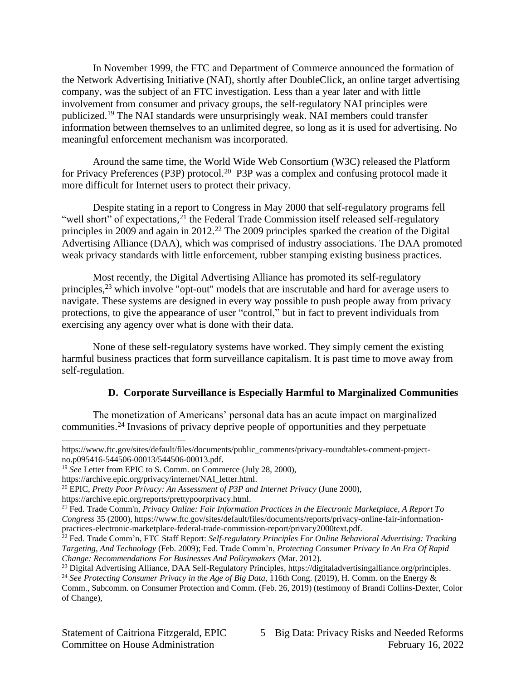In November 1999, the FTC and Department of Commerce announced the formation of the Network Advertising Initiative (NAI), shortly after DoubleClick, an online target advertising company, was the subject of an FTC investigation. Less than a year later and with little involvement from consumer and privacy groups, the self-regulatory NAI principles were publicized.<sup>19</sup> The NAI standards were unsurprisingly weak. NAI members could transfer information between themselves to an unlimited degree, so long as it is used for advertising. No meaningful enforcement mechanism was incorporated.

Around the same time, the World Wide Web Consortium (W3C) released the Platform for Privacy Preferences (P3P) protocol.<sup>20</sup> P3P was a complex and confusing protocol made it more difficult for Internet users to protect their privacy.

Despite stating in a report to Congress in May 2000 that self-regulatory programs fell "well short" of expectations,<sup>21</sup> the Federal Trade Commission itself released self-regulatory principles in 2009 and again in 2012.<sup>22</sup> The 2009 principles sparked the creation of the Digital Advertising Alliance (DAA), which was comprised of industry associations. The DAA promoted weak privacy standards with little enforcement, rubber stamping existing business practices.

Most recently, the Digital Advertising Alliance has promoted its self-regulatory principles,<sup>23</sup> which involve "opt-out" models that are inscrutable and hard for average users to navigate. These systems are designed in every way possible to push people away from privacy protections, to give the appearance of user "control," but in fact to prevent individuals from exercising any agency over what is done with their data.

None of these self-regulatory systems have worked. They simply cement the existing harmful business practices that form surveillance capitalism. It is past time to move away from self-regulation.

# **D. Corporate Surveillance is Especially Harmful to Marginalized Communities**

The monetization of Americans' personal data has an acute impact on marginalized communities. <sup>24</sup> Invasions of privacy deprive people of opportunities and they perpetuate

[https://www.ftc.gov/sites/default/files/documents/public\\_comments/privacy-roundtables-comment-project](https://www.ftc.gov/sites/default/files/documents/public_comments/privacy-roundtables-comment-project-no.p095416-544506-00013/544506-00013.pdf)[no.p095416-544506-00013/544506-00013.pdf.](https://www.ftc.gov/sites/default/files/documents/public_comments/privacy-roundtables-comment-project-no.p095416-544506-00013/544506-00013.pdf)

<sup>19</sup> *See* Letter from EPIC to S. Comm. on Commerce (July 28, 2000),

[https://archive.epic.org/privacy/internet/NAI\\_letter.html.](https://archive.epic.org/privacy/internet/NAI_letter.html)

<sup>20</sup> EPIC, *Pretty Poor Privacy: An Assessment of P3P and Internet Privacy* (June 2000),

[https://archive.epic.org/reports/prettypoorprivacy.html.](https://archive.epic.org/reports/prettypoorprivacy.html)

<sup>21</sup> Fed. Trade Comm'n, *Privacy Online: Fair Information Practices in the Electronic Marketplace, A Report To Congress* 35 (2000)[, https://www.ftc.gov/sites/default/files/documents/reports/privacy-online-fair-information](https://www.ftc.gov/sites/default/files/documents/reports/privacy-online-fair-information-practices-electronic-marketplace-federal-trade-commission-report/privacy2000text.pdf)[practices-electronic-marketplace-federal-trade-commission-report/privacy2000text.pdf.](https://www.ftc.gov/sites/default/files/documents/reports/privacy-online-fair-information-practices-electronic-marketplace-federal-trade-commission-report/privacy2000text.pdf) 

<sup>&</sup>lt;sup>22</sup> Fed. Trade Comm'n, FTC Staff Report: Self-regulatory Principles For Online Behavioral Advertising: Tracking *Targeting, And Technology* (Feb. 2009); Fed. Trade Comm'n, *Protecting Consumer Privacy In An Era Of Rapid Change: Recommendations For Businesses And Policymakers* (Mar. 2012).

<sup>&</sup>lt;sup>23</sup> Digital Advertising Alliance, DAA Self-Regulatory Principles[, https://digitaladvertisingalliance.org/principles.](https://digitaladvertisingalliance.org/principles)

<sup>24</sup> *See Protecting Consumer Privacy in the Age of Big Data*, 116th Cong. (2019), H. Comm. on the Energy & Comm., Subcomm. on Consumer Protection and Comm. (Feb. 26, 2019) (testimony of Brandi Collins-Dexter, Color of Change),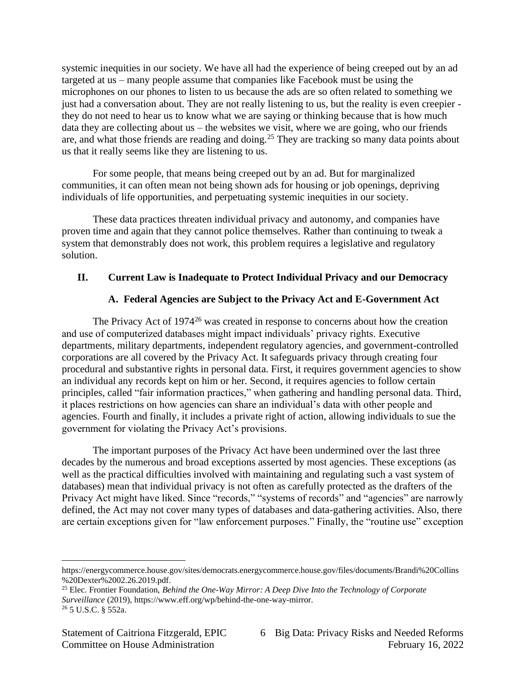systemic inequities in our society. We have all had the experience of being creeped out by an ad targeted at us – many people assume that companies like Facebook must be using the microphones on our phones to listen to us because the ads are so often related to something we just had a conversation about. They are not really listening to us, but the reality is even creepier they do not need to hear us to know what we are saying or thinking because that is how much data they are collecting about us – the websites we visit, where we are going, who our friends are, and what those friends are reading and doing.<sup>25</sup> They are tracking so many data points about us that it really seems like they are listening to us.

For some people, that means being creeped out by an ad. But for marginalized communities, it can often mean not being shown ads for housing or job openings, depriving individuals of life opportunities, and perpetuating systemic inequities in our society.

These data practices threaten individual privacy and autonomy, and companies have proven time and again that they cannot police themselves. Rather than continuing to tweak a system that demonstrably does not work, this problem requires a legislative and regulatory solution.

### **II. Current Law is Inadequate to Protect Individual Privacy and our Democracy**

### **A. Federal Agencies are Subject to the Privacy Act and E-Government Act**

The Privacy Act of  $1974^{26}$  was created in response to concerns about how the creation and use of computerized databases might impact individuals' privacy rights. Executive departments, military departments, independent regulatory agencies, and government-controlled corporations are all covered by the Privacy Act. It safeguards privacy through creating four procedural and substantive rights in personal data. First, it requires government agencies to show an individual any records kept on him or her. Second, it requires agencies to follow certain principles, called "fair information practices," when gathering and handling personal data. Third, it places restrictions on how agencies can share an individual's data with other people and agencies. Fourth and finally, it includes a private right of action, allowing individuals to sue the government for violating the Privacy Act's provisions.

The important purposes of the Privacy Act have been undermined over the last three decades by the numerous and broad exceptions asserted by most agencies. These exceptions (as well as the practical difficulties involved with maintaining and regulating such a vast system of databases) mean that individual privacy is not often as carefully protected as the drafters of the Privacy Act might have liked. Since "records," "systems of records" and "agencies" are narrowly defined, the Act may not cover many types of databases and data-gathering activities. Also, there are certain exceptions given for "law enforcement purposes." Finally, the "routine use" exception

[https://energycommerce.house.gov/sites/democrats.energycommerce.house.gov/files/documents/Brandi%20Collins](https://energycommerce.house.gov/sites/democrats.energycommerce.house.gov/files/documents/Brandi%20Collins%20Dexter%2002.26.2019.pdf) [%20Dexter%2002.26.2019.pdf.](https://energycommerce.house.gov/sites/democrats.energycommerce.house.gov/files/documents/Brandi%20Collins%20Dexter%2002.26.2019.pdf)

<sup>25</sup> Elec. Frontier Foundation, *Behind the One-Way Mirror: A Deep Dive Into the Technology of Corporate Surveillance* (2019), [https://www.eff.org/wp/behind-the-one-way-mirror.](https://www.eff.org/wp/behind-the-one-way-mirror) <sup>26</sup> 5 U.S.C. § 552a.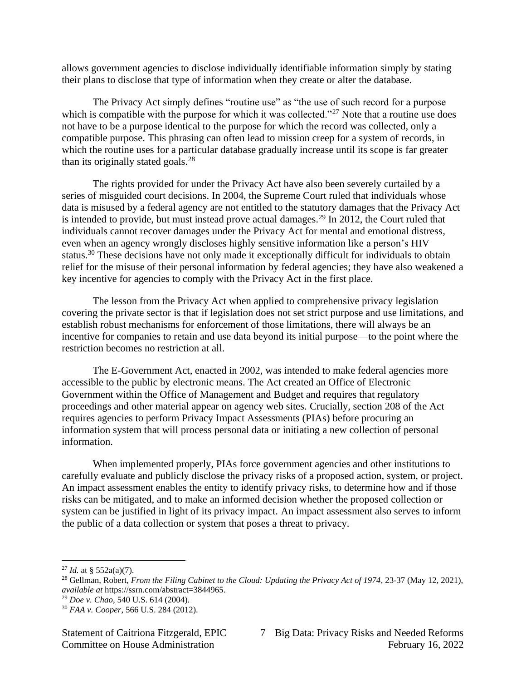allows government agencies to disclose individually identifiable information simply by stating their plans to disclose that type of information when they create or alter the database.

The Privacy Act simply defines "routine use" as "the use of such record for a purpose which is compatible with the purpose for which it was collected."<sup>27</sup> Note that a routine use does not have to be a purpose identical to the purpose for which the record was collected, only a compatible purpose. This phrasing can often lead to mission creep for a system of records, in which the routine uses for a particular database gradually increase until its scope is far greater than its originally stated goals.<sup>28</sup>

The rights provided for under the Privacy Act have also been severely curtailed by a series of misguided court decisions. In 2004, the Supreme Court ruled that individuals whose data is misused by a federal agency are not entitled to the statutory damages that the Privacy Act is intended to provide, but must instead prove actual damages.<sup>29</sup> In 2012, the Court ruled that individuals cannot recover damages under the Privacy Act for mental and emotional distress, even when an agency wrongly discloses highly sensitive information like a person's HIV status.<sup>30</sup> These decisions have not only made it exceptionally difficult for individuals to obtain relief for the misuse of their personal information by federal agencies; they have also weakened a key incentive for agencies to comply with the Privacy Act in the first place.

The lesson from the Privacy Act when applied to comprehensive privacy legislation covering the private sector is that if legislation does not set strict purpose and use limitations, and establish robust mechanisms for enforcement of those limitations, there will always be an incentive for companies to retain and use data beyond its initial purpose—to the point where the restriction becomes no restriction at all.

The E-Government Act, enacted in 2002, was intended to make federal agencies more accessible to the public by electronic means. The Act created an Office of Electronic Government within the Office of Management and Budget and requires that regulatory proceedings and other material appear on agency web sites. Crucially, section 208 of the Act requires agencies to perform Privacy Impact Assessments (PIAs) before procuring an information system that will process personal data or initiating a new collection of personal information.

When implemented properly, PIAs force government agencies and other institutions to carefully evaluate and publicly disclose the privacy risks of a proposed action, system, or project. An impact assessment enables the entity to identify privacy risks, to determine how and if those risks can be mitigated, and to make an informed decision whether the proposed collection or system can be justified in light of its privacy impact. An impact assessment also serves to inform the public of a data collection or system that poses a threat to privacy.

<sup>&</sup>lt;sup>27</sup> *Id.* at § 552a(a)(7).

<sup>28</sup> Gellman, Robert, *From the Filing Cabinet to the Cloud: Updating the Privacy Act of 1974*, 23-37 (May 12, 2021), *available at* [https://ssrn.com/abstract=3844965.](https://ssrn.com/abstract=3844965)

<sup>29</sup> *Doe v. Chao*, 540 U.S. 614 (2004).

<sup>30</sup> *FAA v. Cooper*, 566 U.S. 284 (2012).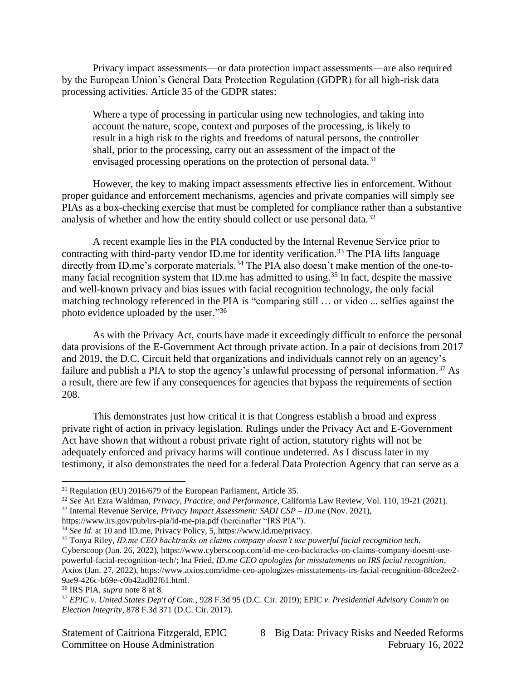Privacy impact assessments—or data protection impact assessments—are also required by the European Union's General Data Protection Regulation (GDPR) for all high-risk data processing activities. Article 35 of the GDPR states:

Where a type of processing in particular using new technologies, and taking into account the nature, scope, context and purposes of the processing, is likely to result in a high risk to the rights and freedoms of natural persons, the controller shall, prior to the processing, carry out an assessment of the impact of the envisaged processing operations on the protection of personal data.<sup>31</sup>

However, the key to making impact assessments effective lies in enforcement. Without proper guidance and enforcement mechanisms, agencies and private companies will simply see PIAs as a box-checking exercise that must be completed for compliance rather than a substantive analysis of whether and how the entity should collect or use personal data.<sup>32</sup>

A recent example lies in the PIA conducted by the Internal Revenue Service prior to contracting with third-party vendor ID.me for identity verification.<sup>33</sup> The PIA lifts language directly from ID.me's corporate materials.<sup>34</sup> The PIA also doesn't make mention of the one-tomany facial recognition system that ID me has admitted to using.<sup>35</sup> In fact, despite the massive and well-known privacy and bias issues with facial recognition technology, the only facial matching technology referenced in the PIA is "comparing still … or video ... selfies against the photo evidence uploaded by the user."36

As with the Privacy Act, courts have made it exceedingly difficult to enforce the personal data provisions of the E-Government Act through private action. In a pair of decisions from 2017 and 2019, the D.C. Circuit held that organizations and individuals cannot rely on an agency's failure and publish a PIA to stop the agency's unlawful processing of personal information.<sup>37</sup> As a result, there are few if any consequences for agencies that bypass the requirements of section 208.

This demonstrates just how critical it is that Congress establish a broad and express private right of action in privacy legislation. Rulings under the Privacy Act and E-Government Act have shown that without a robust private right of action, statutory rights will not be adequately enforced and privacy harms will continue undeterred. As I discuss later in my testimony, it also demonstrates the need for a federal Data Protection Agency that can serve as a

<sup>32</sup> *See* Ari Ezra Waldman, *Privacy, Practice, and Performance,* California Law Review, Vol. 110, 19-21 (2021). <sup>33</sup> Internal Revenue Service, *Privacy Impact Assessment: SADI CSP – ID.me* (Nov. 2021),

<https://www.irs.gov/pub/irs-pia/id-me-pia.pdf> (hereinafter "IRS PIA").

<sup>36</sup> IRS PIA, *supra* note 8 at 8.

<sup>31</sup> Regulation (EU) 2016/679 of the European Parliament, Article 35.

<sup>&</sup>lt;sup>34</sup> *See Id.* at 10 and ID.me, Privacy Policy, 5[, https://www.id.me/privacy.](https://www.id.me/privacy)

<sup>35</sup> Tonya Riley, *ID.me CEO backtracks on claims company doesn't use powerful facial recognition tech*, Cyberscoop (Jan. 26, 2022), https://www.cyberscoop.com/id-me-ceo-backtracks-on-claims-company-doesnt-usepowerful-facial-recognition-tech/; Ina Fried, *ID.me CEO apologies for misstatements on IRS facial recognition*, Axios (Jan. 27, 2022), https://www.axios.com/idme-ceo-apologizes-misstatements-irs-facial-recognition-88ce2ee2- 9ae9-426c-b69e-c0b42ad82f61.html.

<sup>37</sup> *EPIC v. United States Dep't of Com.*, 928 F.3d 95 (D.C. Cir. 2019); EPIC *v. Presidential Advisory Comm'n on Election Integrity*, 878 F.3d 371 (D.C. Cir. 2017).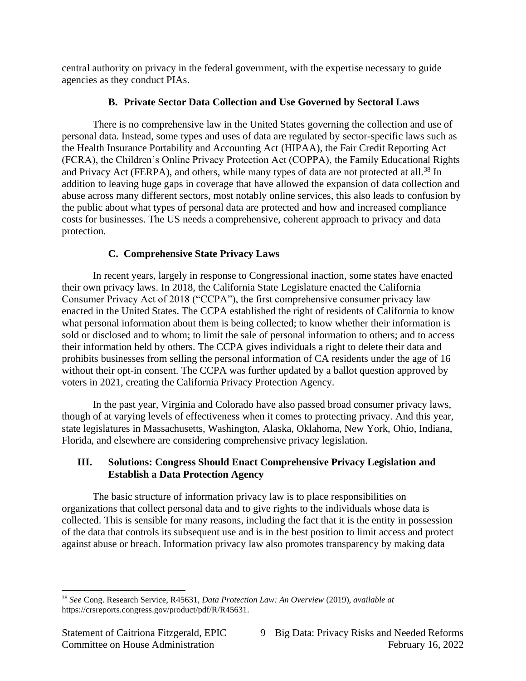central authority on privacy in the federal government, with the expertise necessary to guide agencies as they conduct PIAs.

# **B. Private Sector Data Collection and Use Governed by Sectoral Laws**

There is no comprehensive law in the United States governing the collection and use of personal data. Instead, some types and uses of data are regulated by sector-specific laws such as the Health Insurance Portability and Accounting Act (HIPAA), the Fair Credit Reporting Act (FCRA), the Children's Online Privacy Protection Act (COPPA), the Family Educational Rights and Privacy Act (FERPA), and others, while many types of data are not protected at all.<sup>38</sup> In addition to leaving huge gaps in coverage that have allowed the expansion of data collection and abuse across many different sectors, most notably online services, this also leads to confusion by the public about what types of personal data are protected and how and increased compliance costs for businesses. The US needs a comprehensive, coherent approach to privacy and data protection.

# **C. Comprehensive State Privacy Laws**

In recent years, largely in response to Congressional inaction, some states have enacted their own privacy laws. In 2018, the California State Legislature enacted the California Consumer Privacy Act of 2018 ("CCPA"), the first comprehensive consumer privacy law enacted in the United States. The CCPA established the right of residents of California to know what personal information about them is being collected; to know whether their information is sold or disclosed and to whom; to limit the sale of personal information to others; and to access their information held by others. The CCPA gives individuals a right to delete their data and prohibits businesses from selling the personal information of CA residents under the age of 16 without their opt-in consent. The CCPA was further updated by a ballot question approved by voters in 2021, creating the California Privacy Protection Agency.

In the past year, Virginia and Colorado have also passed broad consumer privacy laws, though of at varying levels of effectiveness when it comes to protecting privacy. And this year, state legislatures in Massachusetts, Washington, Alaska, Oklahoma, New York, Ohio, Indiana, Florida, and elsewhere are considering comprehensive privacy legislation.

# **III. Solutions: Congress Should Enact Comprehensive Privacy Legislation and Establish a Data Protection Agency**

The basic structure of information privacy law is to place responsibilities on organizations that collect personal data and to give rights to the individuals whose data is collected. This is sensible for many reasons, including the fact that it is the entity in possession of the data that controls its subsequent use and is in the best position to limit access and protect against abuse or breach. Information privacy law also promotes transparency by making data

<sup>38</sup> *See* Cong. Research Service, R45631, *Data Protection Law: An Overview* (2019), *available at* [https://crsreports.congress.gov/product/pdf/R/R45631.](https://crsreports.congress.gov/product/pdf/R/R45631)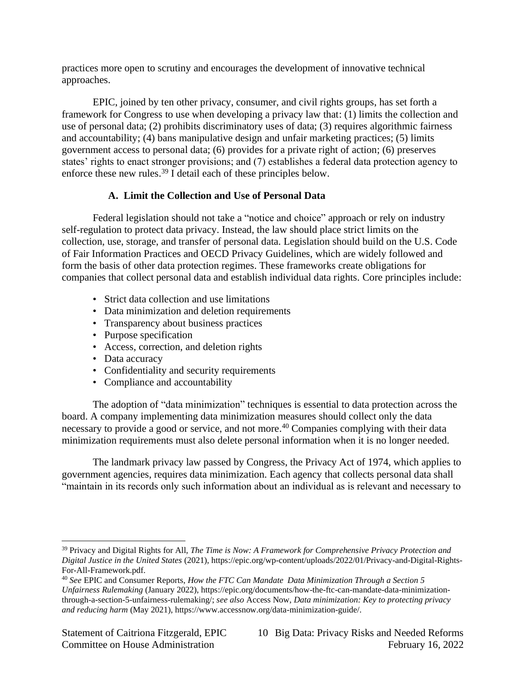practices more open to scrutiny and encourages the development of innovative technical approaches.

EPIC, joined by ten other privacy, consumer, and civil rights groups, has set forth a framework for Congress to use when developing a privacy law that: (1) limits the collection and use of personal data; (2) prohibits discriminatory uses of data; (3) requires algorithmic fairness and accountability; (4) bans manipulative design and unfair marketing practices; (5) limits government access to personal data; (6) provides for a private right of action; (6) preserves states' rights to enact stronger provisions; and (7) establishes a federal data protection agency to enforce these new rules.<sup>39</sup> I detail each of these principles below.

# **A. Limit the Collection and Use of Personal Data**

Federal legislation should not take a "notice and choice" approach or rely on industry self-regulation to protect data privacy. Instead, the law should place strict limits on the collection, use, storage, and transfer of personal data. Legislation should build on the U.S. Code of Fair Information Practices and OECD Privacy Guidelines, which are widely followed and form the basis of other data protection regimes. These frameworks create obligations for companies that collect personal data and establish individual data rights. Core principles include:

- Strict data collection and use limitations
- Data minimization and deletion requirements
- Transparency about business practices
- Purpose specification
- Access, correction, and deletion rights
- Data accuracy
- Confidentiality and security requirements
- Compliance and accountability

The adoption of "data minimization" techniques is essential to data protection across the board. A company implementing data minimization measures should collect only the data necessary to provide a good or service, and not more.<sup>40</sup> Companies complying with their data minimization requirements must also delete personal information when it is no longer needed.

The landmark privacy law passed by Congress, the Privacy Act of 1974, which applies to government agencies, requires data minimization. Each agency that collects personal data shall "maintain in its records only such information about an individual as is relevant and necessary to

<sup>39</sup> Privacy and Digital Rights for All, *The Time is Now: A Framework for Comprehensive Privacy Protection and Digital Justice in the United States* (2021), [https://epic.org/wp-content/uploads/2022/01/Privacy-and-Digital-Rights-](https://epic.org/wp-content/uploads/2022/01/Privacy-and-Digital-Rights-For-All-Framework.pdf)[For-All-Framework.pdf.](https://epic.org/wp-content/uploads/2022/01/Privacy-and-Digital-Rights-For-All-Framework.pdf) 

<sup>40</sup> *See* EPIC and Consumer Reports, *How the FTC Can Mandate Data Minimization Through a Section 5 Unfairness Rulemaking* (January 2022), [https://epic.org/documents/how-the-ftc-can-mandate-data-minimization](https://epic.org/documents/how-the-ftc-can-mandate-data-minimization-through-a-section-5-unfairness-rulemaking/)[through-a-section-5-unfairness-rulemaking/;](https://epic.org/documents/how-the-ftc-can-mandate-data-minimization-through-a-section-5-unfairness-rulemaking/) *see also* Access Now, *Data minimization: Key to protecting privacy and reducing harm* (May 2021)[, https://www.accessnow.org/data-minimization-guide/.](https://www.accessnow.org/data-minimization-guide/)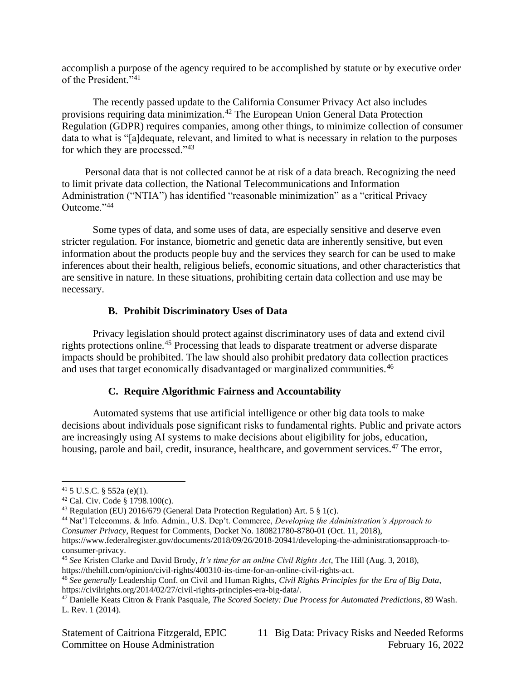accomplish a purpose of the agency required to be accomplished by statute or by executive order of the President."<sup>41</sup>

The recently passed update to the California Consumer Privacy Act also includes provisions requiring data minimization.<sup>42</sup> The European Union General Data Protection Regulation (GDPR) requires companies, among other things, to minimize collection of consumer data to what is "[a]dequate, relevant, and limited to what is necessary in relation to the purposes for which they are processed."<sup>43</sup>

Personal data that is not collected cannot be at risk of a data breach. Recognizing the need to limit private data collection, the National Telecommunications and Information Administration ("NTIA") has identified "reasonable minimization" as a "critical Privacy Outcome."<sup>44</sup>

Some types of data, and some uses of data, are especially sensitive and deserve even stricter regulation. For instance, biometric and genetic data are inherently sensitive, but even information about the products people buy and the services they search for can be used to make inferences about their health, religious beliefs, economic situations, and other characteristics that are sensitive in nature. In these situations, prohibiting certain data collection and use may be necessary.

### **B. Prohibit Discriminatory Uses of Data**

Privacy legislation should protect against discriminatory uses of data and extend civil rights protections online.<sup>45</sup> Processing that leads to disparate treatment or adverse disparate impacts should be prohibited. The law should also prohibit predatory data collection practices and uses that target economically disadvantaged or marginalized communities.<sup>46</sup>

### **C. Require Algorithmic Fairness and Accountability**

Automated systems that use artificial intelligence or other big data tools to make decisions about individuals pose significant risks to fundamental rights. Public and private actors are increasingly using AI systems to make decisions about eligibility for jobs, education, housing, parole and bail, credit, insurance, healthcare, and government services.<sup>47</sup> The error,

 $41\,$  5 U.S.C. § 552a (e)(1).

<sup>42</sup> Cal. Civ. Code § 1798.100(c).

<sup>43</sup> Regulation (EU) 2016/679 (General Data Protection Regulation) Art. 5 § 1(c).

<sup>44</sup> Nat'l Telecomms. & Info. Admin., U.S. Dep't. Commerce, *Developing the Administration's Approach to Consumer Privacy*, Request for Comments, Docket No. 180821780-8780-01 (Oct. 11, 2018),

[https://www.federalregister.gov/documents/2018/09/26/2018-20941/developing-the-administrationsapproach-to](https://www.federalregister.gov/documents/2018/09/26/2018-20941/developing-the-administrationsapproach-to-consumer-privacy)[consumer-privacy.](https://www.federalregister.gov/documents/2018/09/26/2018-20941/developing-the-administrationsapproach-to-consumer-privacy)

<sup>45</sup> *See* Kristen Clarke and David Brody, *It's time for an online Civil Rights Act*, The Hill (Aug. 3, 2018), [https://thehill.com/opinion/civil-rights/400310-its-time-for-an-online-civil-rights-act.](https://thehill.com/opinion/civil-rights/400310-its-time-for-an-online-civil-rights-act)

<sup>46</sup> *See generally* Leadership Conf. on Civil and Human Rights, *Civil Rights Principles for the Era of Big Data*, [https://civilrights.org/2014/02/27/civil-rights-principles-era-big-data/.](https://civilrights.org/2014/02/27/civil-rights-principles-era-big-data/)

<sup>47</sup> Danielle Keats Citron & Frank Pasquale, *The Scored Society: Due Process for Automated Predictions*, 89 Wash. L. Rev. 1 (2014).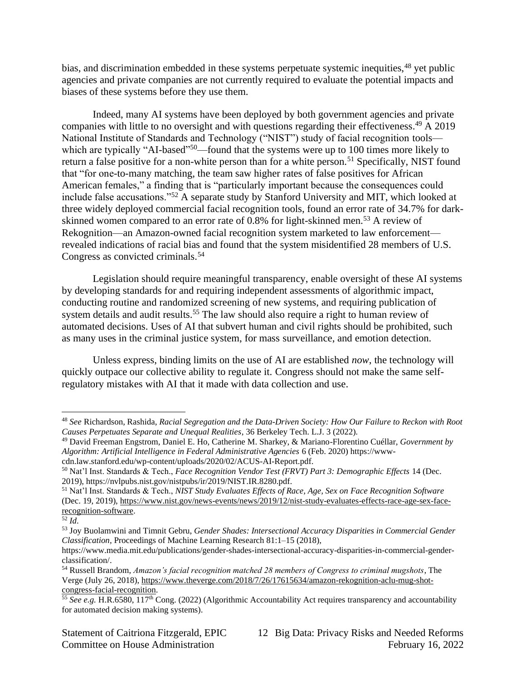bias, and discrimination embedded in these systems perpetuate systemic inequities, <sup>48</sup> yet public agencies and private companies are not currently required to evaluate the potential impacts and biases of these systems before they use them.

Indeed, many AI systems have been deployed by both government agencies and private companies with little to no oversight and with questions regarding their effectiveness. <sup>49</sup> A 2019 National Institute of Standards and Technology ("NIST") study of facial recognition tools which are typically "AI-based"<sup>50</sup>—found that the systems were up to 100 times more likely to return a false positive for a non-white person than for a white person.<sup>51</sup> Specifically, NIST found that "for one-to-many matching, the team saw higher rates of false positives for African American females," a finding that is "particularly important because the consequences could include false accusations."<sup>52</sup> A separate study by Stanford University and MIT, which looked at three widely deployed commercial facial recognition tools, found an error rate of 34.7% for darkskinned women compared to an error rate of 0.8% for light-skinned men.<sup>53</sup> A review of Rekognition—an Amazon-owned facial recognition system marketed to law enforcement revealed indications of racial bias and found that the system misidentified 28 members of U.S. Congress as convicted criminals.<sup>54</sup>

Legislation should require meaningful transparency, enable oversight of these AI systems by developing standards for and requiring independent assessments of algorithmic impact, conducting routine and randomized screening of new systems, and requiring publication of system details and audit results.<sup>55</sup> The law should also require a right to human review of automated decisions. Uses of AI that subvert human and civil rights should be prohibited, such as many uses in the criminal justice system, for mass surveillance, and emotion detection.

Unless express, binding limits on the use of AI are established *now*, the technology will quickly outpace our collective ability to regulate it. Congress should not make the same selfregulatory mistakes with AI that it made with data collection and use.

<sup>48</sup> *See* Richardson, Rashida, *Racial Segregation and the Data-Driven Society: How Our Failure to Reckon with Root Causes Perpetuates Separate and Unequal Realities*, 36 Berkeley Tech. L.J. 3 (2022).

<sup>49</sup> David Freeman Engstrom, Daniel E. Ho, Catherine M. Sharkey, & Mariano-Florentino Cuéllar, *Government by Algorithm: Artificial Intelligence in Federal Administrative Agencies* 6 (Feb. 2020) [https://www](https://www-cdn.law.stanford.edu/wp-content/uploads/2020/02/ACUS-AI-Report.pdf)[cdn.law.stanford.edu/wp-content/uploads/2020/02/ACUS-AI-Report.pdf.](https://www-cdn.law.stanford.edu/wp-content/uploads/2020/02/ACUS-AI-Report.pdf)

<sup>50</sup> Nat'l Inst. Standards & Tech., *Face Recognition Vendor Test (FRVT) Part 3: Demographic Effects* 14 (Dec. 2019), https://nvlpubs.nist.gov/nistpubs/ir/2019/NIST.IR.8280.pdf.

<sup>51</sup> Nat'l Inst. Standards & Tech., *NIST Study Evaluates Effects of Race, Age, Sex on Face Recognition Software* (Dec. 19, 2019), [https://www.nist.gov/news-events/news/2019/12/nist-study-evaluates-effects-race-age-sex-face](https://www.nist.gov/news-events/news/2019/12/nist-study-evaluates-effects-race-age-sex-face-recognition-software)[recognition-software.](https://www.nist.gov/news-events/news/2019/12/nist-study-evaluates-effects-race-age-sex-face-recognition-software) 

<sup>52</sup> *Id*.

<sup>53</sup> Joy Buolamwini and Timnit Gebru, *Gender Shades: Intersectional Accuracy Disparities in Commercial Gender Classification,* Proceedings of Machine Learning Research 81:1–15 (2018),

[https://www.media.mit.edu/publications/gender-shades-intersectional-accuracy-disparities-in-commercial-gender](https://www.media.mit.edu/publications/gender-shades-intersectional-accuracy-disparities-in-commercial-gender-classification/)[classification/.](https://www.media.mit.edu/publications/gender-shades-intersectional-accuracy-disparities-in-commercial-gender-classification/)

<sup>54</sup> Russell Brandom, *Amazon's facial recognition matched 28 members of Congress to criminal mugshots*, The Verge (July 26, 2018), [https://www.theverge.com/2018/7/26/17615634/amazon-rekognition-aclu-mug-shot](https://www.theverge.com/2018/7/26/17615634/amazon-rekognition-aclu-mug-shot-congress-facial-recognition)[congress-facial-recognition.](https://www.theverge.com/2018/7/26/17615634/amazon-rekognition-aclu-mug-shot-congress-facial-recognition)

<sup>55</sup> *See e.g.* H.R.6580, 117th Cong. (2022) (Algorithmic Accountability Act requires transparency and accountability for automated decision making systems).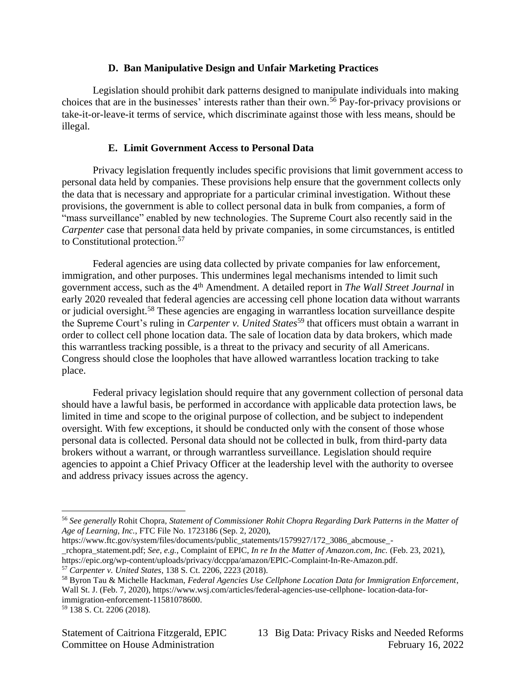### **D. Ban Manipulative Design and Unfair Marketing Practices**

Legislation should prohibit dark patterns designed to manipulate individuals into making choices that are in the businesses' interests rather than their own.<sup>56</sup> Pay-for-privacy provisions or take-it-or-leave-it terms of service, which discriminate against those with less means, should be illegal.

### **E. Limit Government Access to Personal Data**

Privacy legislation frequently includes specific provisions that limit government access to personal data held by companies. These provisions help ensure that the government collects only the data that is necessary and appropriate for a particular criminal investigation. Without these provisions, the government is able to collect personal data in bulk from companies, a form of "mass surveillance" enabled by new technologies. The Supreme Court also recently said in the *Carpenter* case that personal data held by private companies, in some circumstances, is entitled to Constitutional protection. 57

Federal agencies are using data collected by private companies for law enforcement, immigration, and other purposes. This undermines legal mechanisms intended to limit such government access, such as the 4th Amendment. A detailed report in *The Wall Street Journal* in early 2020 revealed that federal agencies are accessing cell phone location data without warrants or judicial oversight.<sup>58</sup> These agencies are engaging in warrantless location surveillance despite the Supreme Court's ruling in *Carpenter v. United States*<sup>59</sup> that officers must obtain a warrant in order to collect cell phone location data. The sale of location data by data brokers, which made this warrantless tracking possible, is a threat to the privacy and security of all Americans. Congress should close the loopholes that have allowed warrantless location tracking to take place.

Federal privacy legislation should require that any government collection of personal data should have a lawful basis, be performed in accordance with applicable data protection laws, be limited in time and scope to the original purpose of collection, and be subject to independent oversight. With few exceptions, it should be conducted only with the consent of those whose personal data is collected. Personal data should not be collected in bulk, from third-party data brokers without a warrant, or through warrantless surveillance. Legislation should require agencies to appoint a Chief Privacy Officer at the leadership level with the authority to oversee and address privacy issues across the agency.

<sup>56</sup> *See generally* Rohit Chopra, *Statement of Commissioner Rohit Chopra Regarding Dark Patterns in the Matter of Age of Learning, Inc.*, FTC File No. 1723186 (Sep. 2, 2020),

[https://www.ftc.gov/system/files/documents/public\\_statements/1579927/172\\_3086\\_abcmouse\\_-](https://www.ftc.gov/system/files/documents/public_statements/1579927/172_3086_abcmouse_-_rchopra_statement.pdf) [\\_rchopra\\_statement.pdf;](https://www.ftc.gov/system/files/documents/public_statements/1579927/172_3086_abcmouse_-_rchopra_statement.pdf) *See, e.g.*, Complaint of EPIC, *In re In the Matter of Amazon.com, Inc.* (Feb. 23, 2021), [https://epic.org/wp-content/uploads/privacy/dccppa/amazon/EPIC-Complaint-In-Re-Amazon.pdf.](https://epic.org/wp-content/uploads/privacy/dccppa/amazon/EPIC-Complaint-In-Re-Amazon.pdf)

<sup>57</sup> *Carpenter v. United States*, 138 S. Ct. 2206, 2223 (2018).

<sup>58</sup> Byron Tau & Michelle Hackman, *Federal Agencies Use Cellphone Location Data for Immigration Enforcement*, Wall St. J. (Feb. 7, 2020), [https://www.wsj.com/articles/federal-agencies-use-cellphone-](https://www.wsj.com/articles/federal-agencies-use-cellphone-%20location-data-for-immigration-enforcement-11581078600) location-data-for[immigration-enforcement-11581078600.](https://www.wsj.com/articles/federal-agencies-use-cellphone-%20location-data-for-immigration-enforcement-11581078600)

<sup>59</sup> 138 S. Ct. 2206 (2018).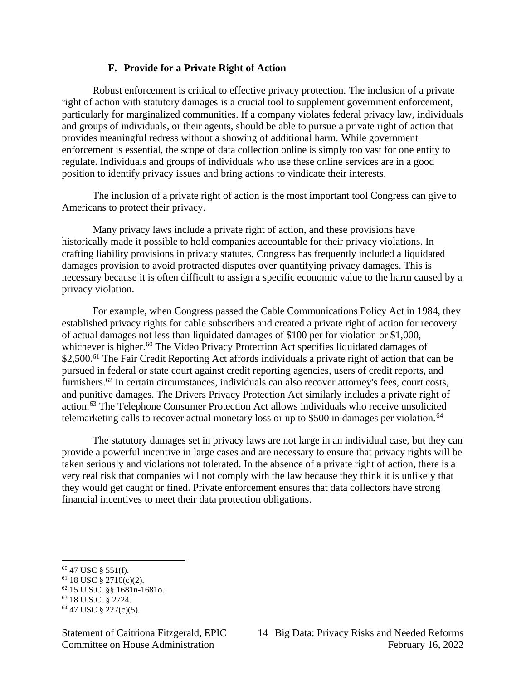### **F. Provide for a Private Right of Action**

Robust enforcement is critical to effective privacy protection. The inclusion of a private right of action with statutory damages is a crucial tool to supplement government enforcement, particularly for marginalized communities. If a company violates federal privacy law, individuals and groups of individuals, or their agents, should be able to pursue a private right of action that provides meaningful redress without a showing of additional harm. While government enforcement is essential, the scope of data collection online is simply too vast for one entity to regulate. Individuals and groups of individuals who use these online services are in a good position to identify privacy issues and bring actions to vindicate their interests.

The inclusion of a private right of action is the most important tool Congress can give to Americans to protect their privacy.

Many privacy laws include a private right of action, and these provisions have historically made it possible to hold companies accountable for their privacy violations. In crafting liability provisions in privacy statutes, Congress has frequently included a liquidated damages provision to avoid protracted disputes over quantifying privacy damages. This is necessary because it is often difficult to assign a specific economic value to the harm caused by a privacy violation.

For example, when Congress passed the Cable Communications Policy Act in 1984, they established privacy rights for cable subscribers and created a private right of action for recovery of actual damages not less than liquidated damages of \$100 per for violation or \$1,000, whichever is higher.<sup>60</sup> The Video Privacy Protection Act specifies liquidated damages of \$2,500.<sup>61</sup> The Fair Credit Reporting Act affords individuals a private right of action that can be pursued in federal or state court against credit reporting agencies, users of credit reports, and furnishers.<sup>62</sup> In certain circumstances, individuals can also recover attorney's fees, court costs, and punitive damages. The Drivers Privacy Protection Act similarly includes a private right of action.<sup>63</sup> The Telephone Consumer Protection Act allows individuals who receive unsolicited telemarketing calls to recover actual monetary loss or up to \$500 in damages per violation.<sup>64</sup>

The statutory damages set in privacy laws are not large in an individual case, but they can provide a powerful incentive in large cases and are necessary to ensure that privacy rights will be taken seriously and violations not tolerated. In the absence of a private right of action, there is a very real risk that companies will not comply with the law because they think it is unlikely that they would get caught or fined. Private enforcement ensures that data collectors have strong financial incentives to meet their data protection obligations.

<sup>60</sup> 47 USC § 551(f).

 $61$  18 USC § 2710(c)(2).

<sup>62</sup> 15 U.S.C. §§ 1681n-1681o.

<sup>63</sup> 18 U.S.C. § 2724.

<sup>64</sup> 47 USC § 227(c)(5).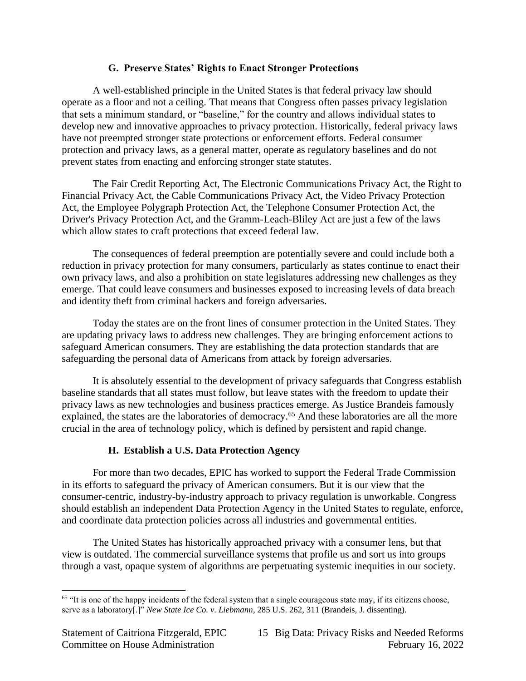# **G. Preserve States' Rights to Enact Stronger Protections**

A well-established principle in the United States is that federal privacy law should operate as a floor and not a ceiling. That means that Congress often passes privacy legislation that sets a minimum standard, or "baseline," for the country and allows individual states to develop new and innovative approaches to privacy protection. Historically, federal privacy laws have not preempted stronger state protections or enforcement efforts. Federal consumer protection and privacy laws, as a general matter, operate as regulatory baselines and do not prevent states from enacting and enforcing stronger state statutes.

The Fair Credit Reporting Act, The Electronic Communications Privacy Act, the Right to Financial Privacy Act, the Cable Communications Privacy Act, the Video Privacy Protection Act, the Employee Polygraph Protection Act, the Telephone Consumer Protection Act, the Driver's Privacy Protection Act, and the Gramm-Leach-Bliley Act are just a few of the laws which allow states to craft protections that exceed federal law.

The consequences of federal preemption are potentially severe and could include both a reduction in privacy protection for many consumers, particularly as states continue to enact their own privacy laws, and also a prohibition on state legislatures addressing new challenges as they emerge. That could leave consumers and businesses exposed to increasing levels of data breach and identity theft from criminal hackers and foreign adversaries.

Today the states are on the front lines of consumer protection in the United States. They are updating privacy laws to address new challenges. They are bringing enforcement actions to safeguard American consumers. They are establishing the data protection standards that are safeguarding the personal data of Americans from attack by foreign adversaries.

It is absolutely essential to the development of privacy safeguards that Congress establish baseline standards that all states must follow, but leave states with the freedom to update their privacy laws as new technologies and business practices emerge. As Justice Brandeis famously explained, the states are the laboratories of democracy.<sup>65</sup> And these laboratories are all the more crucial in the area of technology policy, which is defined by persistent and rapid change.

# **H. Establish a U.S. Data Protection Agency**

For more than two decades, EPIC has worked to support the Federal Trade Commission in its efforts to safeguard the privacy of American consumers. But it is our view that the consumer-centric, industry-by-industry approach to privacy regulation is unworkable. Congress should establish an independent Data Protection Agency in the United States to regulate, enforce, and coordinate data protection policies across all industries and governmental entities.

The United States has historically approached privacy with a consumer lens, but that view is outdated. The commercial surveillance systems that profile us and sort us into groups through a vast, opaque system of algorithms are perpetuating systemic inequities in our society.

<sup>&</sup>lt;sup>65</sup> "It is one of the happy incidents of the federal system that a single courageous state may, if its citizens choose, serve as a laboratory[.]" *New State Ice Co. v. Liebmann*, 285 U.S. 262, 311 (Brandeis, J. dissenting).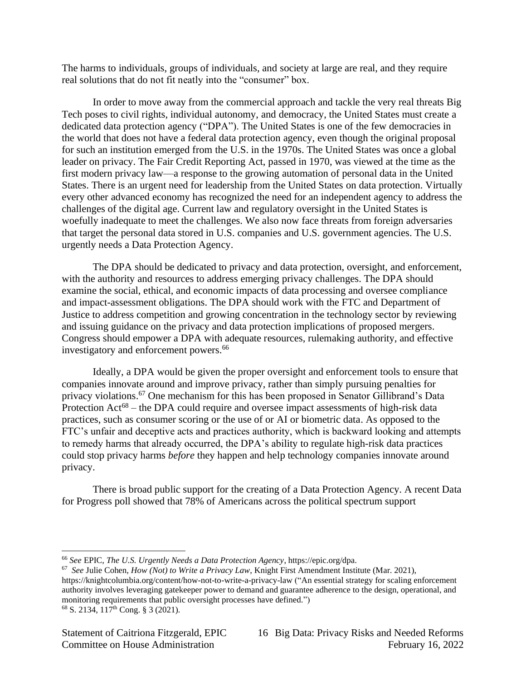The harms to individuals, groups of individuals, and society at large are real, and they require real solutions that do not fit neatly into the "consumer" box.

In order to move away from the commercial approach and tackle the very real threats Big Tech poses to civil rights, individual autonomy, and democracy, the United States must create a dedicated data protection agency ("DPA"). The United States is one of the few democracies in the world that does not have a federal data protection agency, even though the original proposal for such an institution emerged from the U.S. in the 1970s. The United States was once a global leader on privacy. The Fair Credit Reporting Act, passed in 1970, was viewed at the time as the first modern privacy law—a response to the growing automation of personal data in the United States. There is an urgent need for leadership from the United States on data protection. Virtually every other advanced economy has recognized the need for an independent agency to address the challenges of the digital age. Current law and regulatory oversight in the United States is woefully inadequate to meet the challenges. We also now face threats from foreign adversaries that target the personal data stored in U.S. companies and U.S. government agencies. The U.S. urgently needs a Data Protection Agency.

The DPA should be dedicated to privacy and data protection, oversight, and enforcement, with the authority and resources to address emerging privacy challenges. The DPA should examine the social, ethical, and economic impacts of data processing and oversee compliance and impact-assessment obligations. The DPA should work with the FTC and Department of Justice to address competition and growing concentration in the technology sector by reviewing and issuing guidance on the privacy and data protection implications of proposed mergers. Congress should empower a DPA with adequate resources, rulemaking authority, and effective investigatory and enforcement powers.<sup>66</sup>

Ideally, a DPA would be given the proper oversight and enforcement tools to ensure that companies innovate around and improve privacy, rather than simply pursuing penalties for privacy violations. <sup>67</sup> One mechanism for this has been proposed in Senator Gillibrand's Data Protection  $Act^{68}$  – the DPA could require and oversee impact assessments of high-risk data practices, such as consumer scoring or the use of or AI or biometric data. As opposed to the FTC's unfair and deceptive acts and practices authority, which is backward looking and attempts to remedy harms that already occurred, the DPA's ability to regulate high-risk data practices could stop privacy harms *before* they happen and help technology companies innovate around privacy.

There is broad public support for the creating of a Data Protection Agency. A recent Data for Progress poll showed that 78% of Americans across the political spectrum support

<sup>66</sup> *See* EPIC, *The U.S. Urgently Needs a Data Protection Agency*, https://epic.org/dpa.

<sup>67</sup> *See* Julie Cohen, *How (Not) to Write a Privacy Law*, Knight First Amendment Institute (Mar. 2021),

<https://knightcolumbia.org/content/how-not-to-write-a-privacy-law> ("An essential strategy for scaling enforcement authority involves leveraging gatekeeper power to demand and guarantee adherence to the design, operational, and monitoring requirements that public oversight processes have defined.")

<sup>68</sup> S. 2134, 117th Cong. § 3 (2021).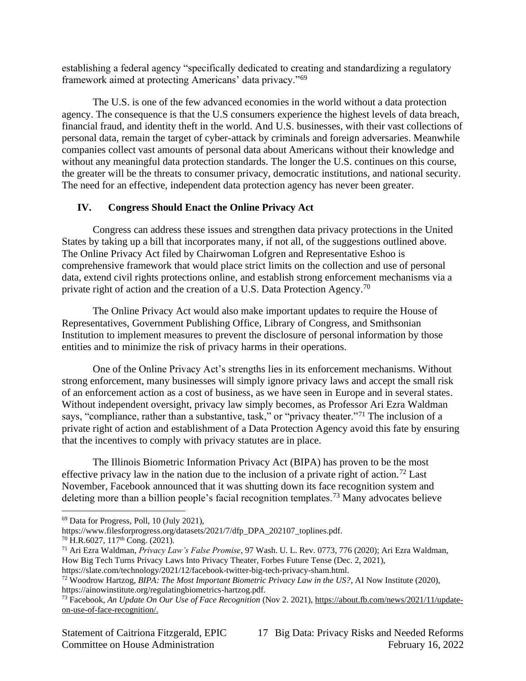establishing a federal agency "specifically dedicated to creating and standardizing a regulatory framework aimed at protecting Americans' data privacy."<sup>69</sup>

The U.S. is one of the few advanced economies in the world without a data protection agency. The consequence is that the U.S consumers experience the highest levels of data breach, financial fraud, and identity theft in the world. And U.S. businesses, with their vast collections of personal data, remain the target of cyber-attack by criminals and foreign adversaries. Meanwhile companies collect vast amounts of personal data about Americans without their knowledge and without any meaningful data protection standards. The longer the U.S. continues on this course, the greater will be the threats to consumer privacy, democratic institutions, and national security. The need for an effective, independent data protection agency has never been greater.

# **IV. Congress Should Enact the Online Privacy Act**

Congress can address these issues and strengthen data privacy protections in the United States by taking up a bill that incorporates many, if not all, of the suggestions outlined above. The Online Privacy Act filed by Chairwoman Lofgren and Representative Eshoo is comprehensive framework that would place strict limits on the collection and use of personal data, extend civil rights protections online, and establish strong enforcement mechanisms via a private right of action and the creation of a U.S. Data Protection Agency.<sup>70</sup>

The Online Privacy Act would also make important updates to require the House of Representatives, Government Publishing Office, Library of Congress, and Smithsonian Institution to implement measures to prevent the disclosure of personal information by those entities and to minimize the risk of privacy harms in their operations.

One of the Online Privacy Act's strengths lies in its enforcement mechanisms. Without strong enforcement, many businesses will simply ignore privacy laws and accept the small risk of an enforcement action as a cost of business, as we have seen in Europe and in several states. Without independent oversight, privacy law simply becomes, as Professor Ari Ezra Waldman says, "compliance, rather than a substantive, task," or "privacy theater."<sup>71</sup> The inclusion of a private right of action and establishment of a Data Protection Agency avoid this fate by ensuring that the incentives to comply with privacy statutes are in place.

The Illinois Biometric Information Privacy Act (BIPA) has proven to be the most effective privacy law in the nation due to the inclusion of a private right of action.<sup>72</sup> Last November, Facebook announced that it was shutting down its face recognition system and deleting more than a billion people's facial recognition templates.<sup>73</sup> Many advocates believe

<sup>69</sup> Data for Progress, Poll, 10 (July 2021),

https://www.filesforprogress.org/datasets/2021/7/dfp\_DPA\_202107\_toplines.pdf.

<sup>70</sup> H.R.6027, 117th Cong. (2021).

<sup>71</sup> Ari Ezra Waldman, *Privacy Law's False Promise*, 97 Wash. U. L. Rev. 0773, 776 (2020); Ari Ezra Waldman, How Big Tech Turns Privacy Laws Into Privacy Theater, Forbes Future Tense (Dec. 2, 2021),

[https://slate.com/technology/2021/12/facebook-twitter-big-tech-privacy-sham.html.](https://slate.com/technology/2021/12/facebook-twitter-big-tech-privacy-sham.html)

<sup>72</sup> Woodrow Hartzog, *BIPA: The Most Important Biometric Privacy Law in the US?*, AI Now Institute (2020), [https://ainowinstitute.org/regulatingbiometrics-hartzog.pdf.](https://ainowinstitute.org/regulatingbiometrics-hartzog.pdf)

<sup>73</sup> Facebook, *An Update On Our Use of Face Recognition* (Nov 2. 2021), [https://about.fb.com/news/2021/11/update](https://about.fb.com/news/2021/11/update-on-use-of-face-recognition/)[on-use-of-face-recognition/.](https://about.fb.com/news/2021/11/update-on-use-of-face-recognition/)